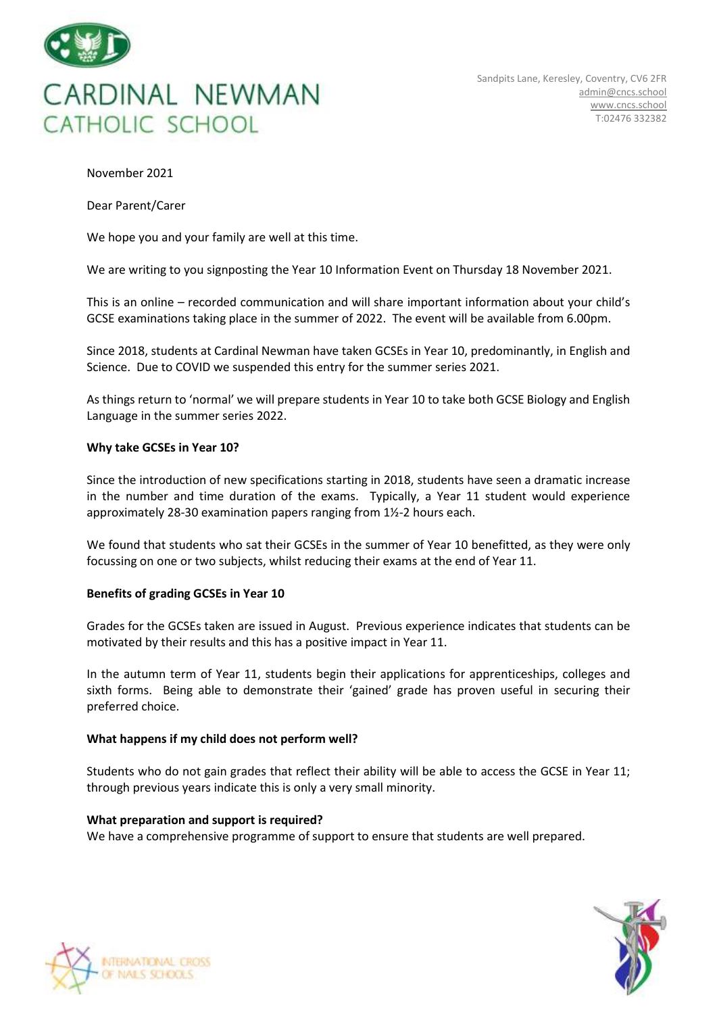

November 2021

Dear Parent/Carer

We hope you and your family are well at this time.

We are writing to you signposting the Year 10 Information Event on Thursday 18 November 2021.

This is an online – recorded communication and will share important information about your child's GCSE examinations taking place in the summer of 2022. The event will be available from 6.00pm.

Since 2018, students at Cardinal Newman have taken GCSEs in Year 10, predominantly, in English and Science. Due to COVID we suspended this entry for the summer series 2021.

As things return to 'normal' we will prepare students in Year 10 to take both GCSE Biology and English Language in the summer series 2022.

# **Why take GCSEs in Year 10?**

Since the introduction of new specifications starting in 2018, students have seen a dramatic increase in the number and time duration of the exams. Typically, a Year 11 student would experience approximately 28-30 examination papers ranging from 1½-2 hours each.

We found that students who sat their GCSEs in the summer of Year 10 benefitted, as they were only focussing on one or two subjects, whilst reducing their exams at the end of Year 11.

# **Benefits of grading GCSEs in Year 10**

Grades for the GCSEs taken are issued in August. Previous experience indicates that students can be motivated by their results and this has a positive impact in Year 11.

In the autumn term of Year 11, students begin their applications for apprenticeships, colleges and sixth forms. Being able to demonstrate their 'gained' grade has proven useful in securing their preferred choice.

# **What happens if my child does not perform well?**

Students who do not gain grades that reflect their ability will be able to access the GCSE in Year 11; through previous years indicate this is only a very small minority.

# **What preparation and support is required?**

We have a comprehensive programme of support to ensure that students are well prepared.